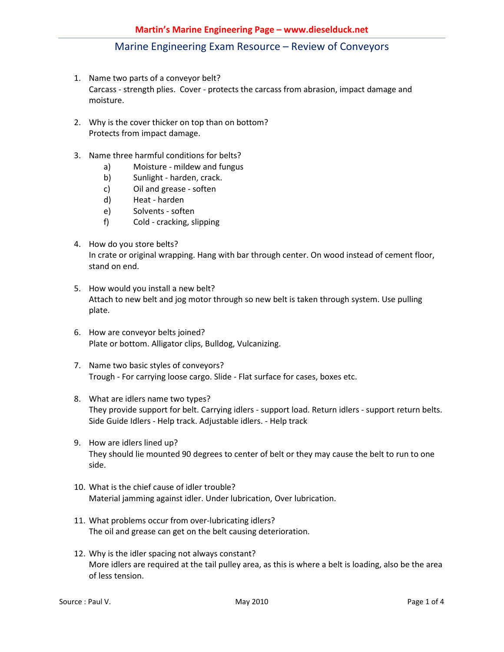- 1. Name two parts of a conveyor belt? Carcass - strength plies. Cover - protects the carcass from abrasion, impact damage and moisture.
- 2. Why is the cover thicker on top than on bottom? Protects from impact damage.
- 3. Name three harmful conditions for belts?
	- a) Moisture mildew and fungus
	- b) Sunlight harden, crack.
	- c) Oil and grease soften
	- d) Heat harden
	- e) Solvents soften
	- f) Cold cracking, slipping
- 4. How do you store belts? In crate or original wrapping. Hang with bar through center. On wood instead of cement floor, stand on end.
- 5. How would you install a new belt? Attach to new belt and jog motor through so new belt is taken through system. Use pulling plate.
- 6. How are conveyor belts joined? Plate or bottom. Alligator clips, Bulldog, Vulcanizing.
- 7. Name two basic styles of conveyors? Trough - For carrying loose cargo. Slide - Flat surface for cases, boxes etc.
- 8. What are idlers name two types? They provide support for belt. Carrying idlers - support load. Return idlers - support return belts. Side Guide Idlers - Help track. Adjustable idlers. - Help track
- 9. How are idlers lined up? They should lie mounted 90 degrees to center of belt or they may cause the belt to run to one side.
- 10. What is the chief cause of idler trouble? Material jamming against idler. Under lubrication, Over lubrication.
- 11. What problems occur from over-lubricating idlers? The oil and grease can get on the belt causing deterioration.
- 12. Why is the idler spacing not always constant? More idlers are required at the tail pulley area, as this is where a belt is loading, also be the area of less tension.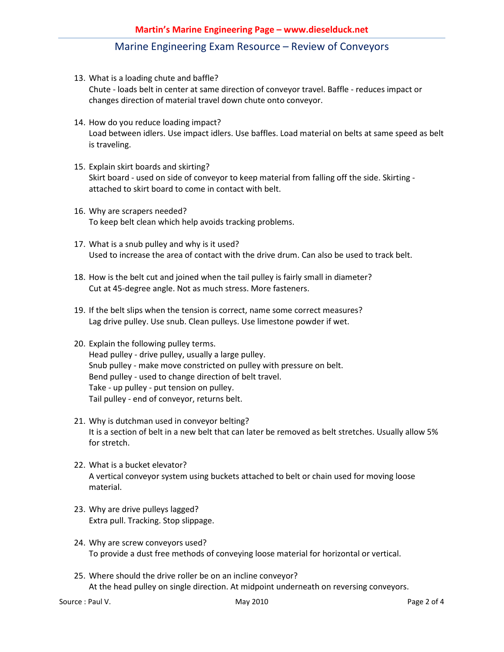- 13. What is a loading chute and baffle? Chute - loads belt in center at same direction of conveyor travel. Baffle - reduces impact or changes direction of material travel down chute onto conveyor.
- 14. How do you reduce loading impact? Load between idlers. Use impact idlers. Use baffles. Load material on belts at same speed as belt is traveling.
- 15. Explain skirt boards and skirting? Skirt board - used on side of conveyor to keep material from falling off the side. Skirting attached to skirt board to come in contact with belt.
- 16. Why are scrapers needed? To keep belt clean which help avoids tracking problems.
- 17. What is a snub pulley and why is it used? Used to increase the area of contact with the drive drum. Can also be used to track belt.
- 18. How is the belt cut and joined when the tail pulley is fairly small in diameter? Cut at 45-degree angle. Not as much stress. More fasteners.
- 19. If the belt slips when the tension is correct, name some correct measures? Lag drive pulley. Use snub. Clean pulleys. Use limestone powder if wet.
- 20. Explain the following pulley terms. Head pulley - drive pulley, usually a large pulley. Snub pulley - make move constricted on pulley with pressure on belt. Bend pulley - used to change direction of belt travel. Take - up pulley - put tension on pulley. Tail pulley - end of conveyor, returns belt.
- 21. Why is dutchman used in conveyor belting? It is a section of belt in a new belt that can later be removed as belt stretches. Usually allow 5% for stretch.
- 22. What is a bucket elevator? A vertical conveyor system using buckets attached to belt or chain used for moving loose material.
- 23. Why are drive pulleys lagged? Extra pull. Tracking. Stop slippage.
- 24. Why are screw conveyors used? To provide a dust free methods of conveying loose material for horizontal or vertical.
- 25. Where should the drive roller be on an incline conveyor? At the head pulley on single direction. At midpoint underneath on reversing conveyors.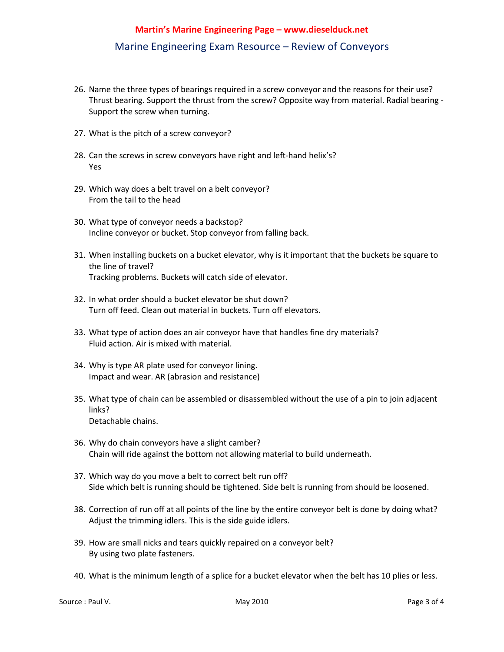- 26. Name the three types of bearings required in a screw conveyor and the reasons for their use? Thrust bearing. Support the thrust from the screw? Opposite way from material. Radial bearing - Support the screw when turning.
- 27. What is the pitch of a screw conveyor?
- 28. Can the screws in screw conveyors have right and left-hand helix's? Yes
- 29. Which way does a belt travel on a belt conveyor? From the tail to the head
- 30. What type of conveyor needs a backstop? Incline conveyor or bucket. Stop conveyor from falling back.
- 31. When installing buckets on a bucket elevator, why is it important that the buckets be square to the line of travel? Tracking problems. Buckets will catch side of elevator.
- 32. In what order should a bucket elevator be shut down? Turn off feed. Clean out material in buckets. Turn off elevators.
- 33. What type of action does an air conveyor have that handles fine dry materials? Fluid action. Air is mixed with material.
- 34. Why is type AR plate used for conveyor lining. Impact and wear. AR (abrasion and resistance)
- 35. What type of chain can be assembled or disassembled without the use of a pin to join adjacent links? Detachable chains.
- 36. Why do chain conveyors have a slight camber? Chain will ride against the bottom not allowing material to build underneath.
- 37. Which way do you move a belt to correct belt run off? Side which belt is running should be tightened. Side belt is running from should be loosened.
- 38. Correction of run off at all points of the line by the entire conveyor belt is done by doing what? Adjust the trimming idlers. This is the side guide idlers.
- 39. How are small nicks and tears quickly repaired on a conveyor belt? By using two plate fasteners.
- 40. What is the minimum length of a splice for a bucket elevator when the belt has 10 plies or less.